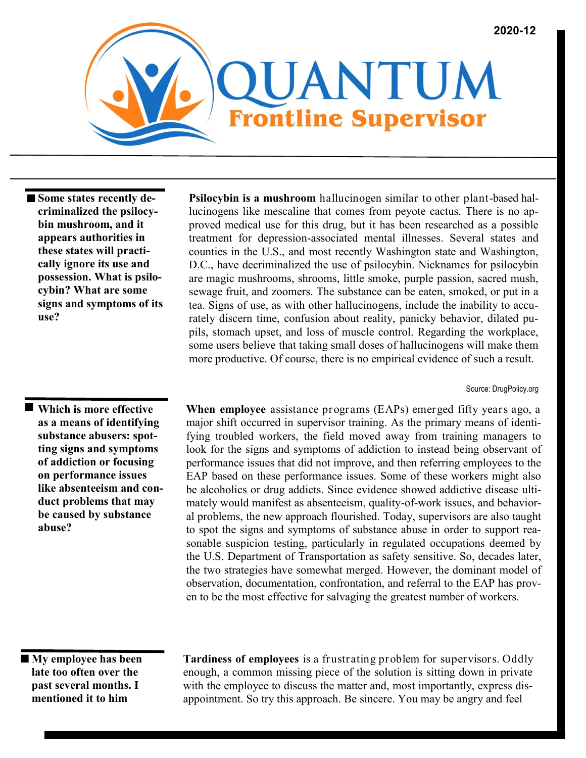

 $\blacksquare$  Some states recently de**criminalized the psilocybin mushroom, and it appears authorities in these states will practically ignore its use and possession. What is psilocybin? What are some signs and symptoms of its use?**

 **Which is more effective as a means of identifying substance abusers: spotting signs and symptoms of addiction or focusing on performance issues like absenteeism and conduct problems that may be caused by substance abuse?**

**Psilocybin is a mushroom** hallucinogen similar to other plant-based hallucinogens like mescaline that comes from peyote cactus. There is no approved medical use for this drug, but it has been researched as a possible treatment for depression-associated mental illnesses. Several states and counties in the U.S., and most recently Washington state and Washington, D.C., have decriminalized the use of psilocybin. Nicknames for psilocybin are magic mushrooms, shrooms, little smoke, purple passion, sacred mush, sewage fruit, and zoomers. The substance can be eaten, smoked, or put in a tea. Signs of use, as with other hallucinogens, include the inability to accurately discern time, confusion about reality, panicky behavior, dilated pupils, stomach upset, and loss of muscle control. Regarding the workplace, some users believe that taking small doses of hallucinogens will make them more productive. Of course, there is no empirical evidence of such a result.

Source: DrugPolicy.org

**When employee** assistance programs (EAPs) emerged fifty years ago, a major shift occurred in supervisor training. As the primary means of identifying troubled workers, the field moved away from training managers to look for the signs and symptoms of addiction to instead being observant of performance issues that did not improve, and then referring employees to the EAP based on these performance issues. Some of these workers might also be alcoholics or drug addicts. Since evidence showed addictive disease ultimately would manifest as absenteeism, quality-of-work issues, and behavioral problems, the new approach flourished. Today, supervisors are also taught to spot the signs and symptoms of substance abuse in order to support reasonable suspicion testing, particularly in regulated occupations deemed by the U.S. Department of Transportation as safety sensitive. So, decades later, the two strategies have somewhat merged. However, the dominant model of observation, documentation, confrontation, and referral to the EAP has proven to be the most effective for salvaging the greatest number of workers.

 **My employee has been late too often over the past several months. I mentioned it to him** 

**Tardiness of employees** is a frustrating problem for supervisors. Oddly enough, a common missing piece of the solution is sitting down in private with the employee to discuss the matter and, most importantly, express disappointment. So try this approach. Be sincere. You may be angry and feel